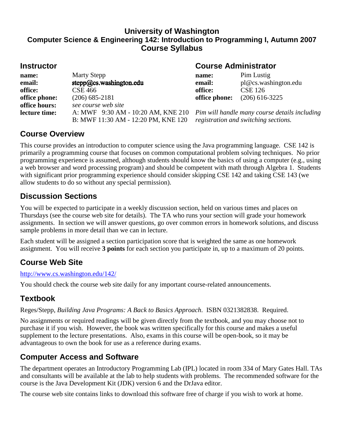#### **University of Washington Computer Science & Engineering 142: Introduction to Programming I, Autumn 2007 Course Syllabus**

| <b>Instructor</b> |                                               | <b>Course Administrator</b>                                                      |                                    |
|-------------------|-----------------------------------------------|----------------------------------------------------------------------------------|------------------------------------|
| name:<br>email:   | <b>Marty Stepp</b><br>stepp@cs.washington.edu | name:<br>email:                                                                  | Pim Lustig<br>pl@cs.washington.edu |
| office:           | <b>CSE 466</b>                                | office:                                                                          | <b>CSE 126</b>                     |
| office phone:     | $(206)$ 685-2181                              | office phone:                                                                    | $(206)$ 616-3225                   |
| office hours:     | see course web site                           |                                                                                  |                                    |
| lecture time:     |                                               | A: MWF 9:30 AM - 10:20 AM, KNE 210 Pim will handle many course details including |                                    |
|                   | B: MWF 11:30 AM - 12:20 PM, KNE 120           | registration and switching sections.                                             |                                    |

### **Course Overview**

This course provides an introduction to computer science using the Java programming language. CSE 142 is primarily a programming course that focuses on common computational problem solving techniques. No prior programming experience is assumed, although students should know the basics of using a computer (e.g., using a web browser and word processing program) and should be competent with math through Algebra 1. Students with significant prior programming experience should consider skipping CSE 142 and taking CSE 143 (we allow students to do so without any special permission).

### **Discussion Sections**

You will be expected to participate in a weekly discussion section, held on various times and places on Thursdays (see the course web site for details). The TA who runs your section will grade your homework assignments. In section we will answer questions, go over common errors in homework solutions, and discuss sample problems in more detail than we can in lecture.

Each student will be assigned a section participation score that is weighted the same as one homework assignment. You will receive **3 points** for each section you participate in, up to a maximum of 20 points.

## **Course Web Site**

#### http://www.cs.washington.edu/142/

You should check the course web site daily for any important course-related announcements.

#### **Textbook**

Reges/Stepp, *Building Java Programs: A Back to Basics Approach*. ISBN 0321382838. Required.

No assignments or required readings will be given directly from the textbook, and you may choose not to purchase it if you wish. However, the book was written specifically for this course and makes a useful supplement to the lecture presentations. Also, exams in this course will be open-book, so it may be advantageous to own the book for use as a reference during exams.

#### **Computer Access and Software**

The department operates an Introductory Programming Lab (IPL) located in room 334 of Mary Gates Hall. TAs and consultants will be available at the lab to help students with problems. The recommended software for the course is the Java Development Kit (JDK) version 6 and the DrJava editor.

The course web site contains links to download this software free of charge if you wish to work at home.